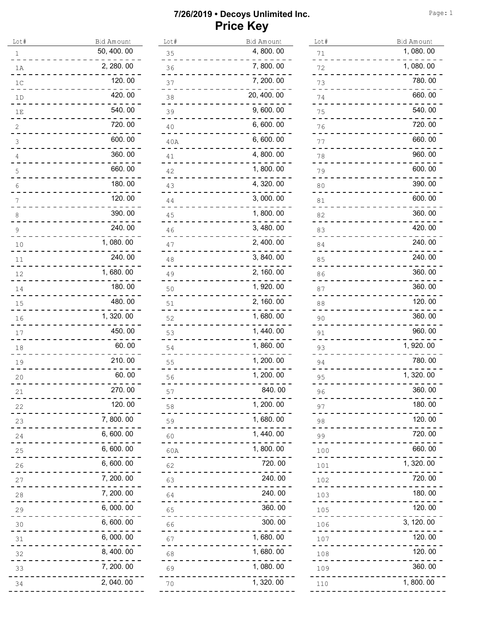| Lot#                             | Bid Amount  | Lot#           | Bid Amount | Lot#           | Bid Amount |
|----------------------------------|-------------|----------------|------------|----------------|------------|
| 1                                | 50, 400. 00 | 35             | 4,800.00   | $71\,$         | 1,080.00   |
| 1A                               | 2, 280.00   | 36             | 7,800.00   | 72             | 1,080.00   |
| 1 <sup>C</sup>                   | 120.00      | 37             | 7, 200. 00 | 73             | 780.00     |
| 1D                               | 420.00      | 38             | 20, 400.00 | 74             | 660.00     |
| 1E                               | 540.00      | 39             | 9,600.00   | 75             | 540.00     |
|                                  | 720.00      | 40             | 6,600.00   | 76             | 720.00     |
| 3                                | 600.00      | 40A            | 6,600.00   | 77             | 660.00     |
|                                  | 360.00      | 41             | 4,800.00   | 78             | 960.00     |
| 5                                | 660.00      | 42             | 1,800.00   | 79             | 600.00     |
|                                  | 180.00      | 43             | 4, 320.00  | 80             | 390.00     |
|                                  | 120.00      | 44             | 3,000.00   | 81             | 600.00     |
| 8                                | 390.00      | 45             | 1,800.00   | 82             | 360.00     |
| $\mathsf{Q}$                     | 240.00      | 46             | 3, 480.00  | 83             | 420.00     |
| 10                               | 1,080.00    | 47             | 2, 400.00  | 84             | 240.00     |
| 11                               | 240.00      | 48             | 3, 840.00  | 85             | 240.00     |
| 12                               | 1,680.00    | 49             | 2, 160.00  | 86             | 360.00     |
| 14                               | 180.00      | 50             | 1, 920.00  | 87             | 360.00     |
| 15                               | 480.00      | 51             | 2, 160.00  | 88             | 120.00     |
| 16                               | 1, 320.00   | 52             | 1,680.00   | 90             | 360.00     |
| 17                               | 450.00      | 53             | 1, 440.00  | 91             | 960.00     |
| 18                               | 60.00       | 54             | 1,860.00   | 93             | 1, 920.00  |
| 19                               | 210.00      | 55             | 1, 200. 00 | 94             | 780.00     |
| 20                               | 60.00       | 56             | 1, 200. 00 | 95             | 1, 320.00  |
| 21                               | 270.00      | 57             | 840.00     | 96             | 360.00     |
| 22                               | 120.00      | $\frac{58}{1}$ | 1, 200. 00 | $\frac{97}{1}$ | 180.00     |
| 23                               | 7,800.00    | 59             | 1,680.00   | 98             | 120.00     |
| 24                               | 6,600.00    | $60 - 60$      | 1, 440.00  | 99             | 720.00     |
| $25 -$                           | 6,600.00    | 60A            | 1,800.00   | 100            | 660.00     |
| 26                               | 6,600.00    | 62             | 720.00     | 101            | 1, 320.00  |
| ----<br>27                       | 7, 200.00   | 63             | 240.00     | 102            | 720.00     |
| 28                               | 7, 200.00   | .<br>64        | 240.00     | 103            | 180.00     |
| -----<br>29                      | 6,000.00    | 65             | 360.00     | 105            | 120.00     |
|                                  | 6,600.00    | 66             | 300.00     | 106            | 3, 120.00  |
| $\frac{30}{1}$<br>$\frac{31}{1}$ | 6,000.00    | 67             | 1,680.00   | 107            | 120.00     |
| 32                               | 8,400.00    | 68             | 1,680.00   | 108            | 120.00     |
| 33                               | 7, 200.00   | 69             | 1,080.00   | 109            | 360.00     |
| 34                               | 2, 040.00   | 70             | 1, 320.00  |                | 1,800.00   |
|                                  |             |                |            | 110            |            |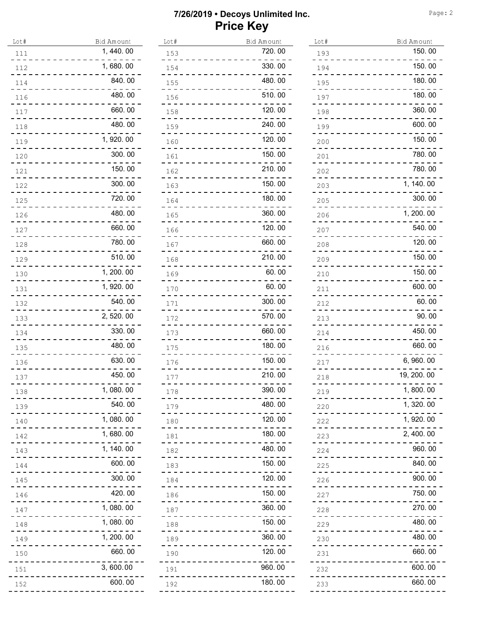| Lot# | Bid Amount | Lot# | Bid Amount | Lot# | Bid Amount  |
|------|------------|------|------------|------|-------------|
| 111  | 1, 440.00  | 153  | 720.00     | 193  | 150.00      |
| 112  | 1,680.00   | 154  | 330.00     | 194  | 150.00      |
| 114  | 840.00     | 155  | 480.00     | 195  | 180.00      |
| 116  | 480.00     | 156  | 510.00     | 197  | 180.00      |
| 117  | 660.00     | 158  | 120.00     | 198  | 360.00      |
| 118  | 480.00     | 159  | 240.00     | 199  | 600.00      |
| 119  | 1, 920.00  | 160  | 120.00     | 200  | 150.00      |
| 120  | 300.00     | 161  | 150.00     | 201  | 780.00      |
| 121  | 150.00     | 162  | 210.00     | 202  | 780.00      |
| 122  | 300.00     | 163  | 150.00     | 203  | 1, 140.00   |
| 125  | 720.00     | 164  | 180.00     | 205  | 300.00      |
| 126  | 480.00     | 165  | 360.00     | 206  | 1, 200. 00  |
| 127  | 660.00     | 166  | 120.00     | 207  | 540.00      |
| 128  | 780.00     | 167  | 660.00     | 208  | 120.00      |
| 129  | 510.00     | 168  | 210.00     | 209  | 150.00      |
| 130  | 1, 200. 00 | 169  | 60.00      | 210  | 150.00      |
| 131  | 1, 920.00  | 170  | 60.00      | 211  | 600.00      |
| 132  | 540.00     | 171  | 300.00     | 212  | 60.00       |
| 133  | 2, 520.00  | 172  | 570.00     | 213  | 90.00       |
| 134  | 330.00     | 173  | 660.00     | 214  | 450.00      |
| 135  | 480.00     | 175  | 180.00     | 216  | 660.00      |
| 136  | 630.00     | 176  | 150.00     | 217  | 6, 960.00   |
| 137  | 450.00     | 177  | 210.00     | 218  | 19, 200. 00 |
| 138  | 1,080.00   | 178  | 390.00     | 219  | 1, 800.00   |
| 139  | 540.00     | 179  | 480.00     | 220  | 1, 320.00   |
| 140  | 1,080.00   | 180  | 120.00     | 222  | 1, 920.00   |
| 142  | 1,680.00   | 181  | 180.00     | 223  | 2, 400.00   |
| 143  | 1, 140.00  | 182  | 480.00     | 224  | 960.00      |
| 144  | 600.00     | 183  | 150.00     | 225  | 840.00      |
| 145  | 300.00     | 184  | 120.00     | 226  | 900.00      |
| 146  | 420.00     | 186  | 150.00     | 227  | 750.00      |
| 147  | 1,080.00   | 187  | 360.00     | 228  | 270.00      |
| 148  | 1,080.00   | 188  | 150.00     | 229  | 480.00      |
| 149  | 1, 200. 00 | 189  | 360.00     | 230  | 480.00      |
| 150  | 660.00     | 190  | 120.00     | 231  | 660.00      |
| 151  | 3,600.00   | 191  | 960.00     | 232  | 600.00      |
| 152  | 600.00     | 192  | 180.00     | 233  | 660.00      |
|      |            |      |            |      |             |

| Lot# | Bid Amount  |
|------|-------------|
| 193  | 150.00      |
| 194  | 150.00      |
| 195  | 180.00      |
| 197  | 180.00      |
| 198  | 360.00      |
| 199  | 600.00      |
| 200  | 150.00      |
| 201  | 780.00      |
| 202  | 780.00      |
| 203  | 1, 140.00   |
| 205  | 300.00      |
| 206  | 1, 200. 00  |
| 207  | 540.00      |
| 208  | 120.00      |
| 209  | 150.00      |
| 210  | 150.00      |
| 211  | 600.00      |
| 212  | 60.00       |
| 213  | 90.00       |
| 214  | 450.00      |
| 216  | 660.00      |
| 217  | 6,960.00    |
| 218  | 19, 200. 00 |
| 219  | 1, 800. 00  |
| 220  | 1,320.00    |
| 222  | 1,920.00    |
| 223  | 2,400.00    |
| 224  | 960.00      |
| 225  | 840.00      |
| 226  | 900.00      |
| 227  | 750.00      |
| 228  | 270.00      |
| 229  | 480.00      |
| 230  | 480.00      |
| 231  | 660.00      |
| 232  | 600.00      |
| 233  | 660.00      |
|      |             |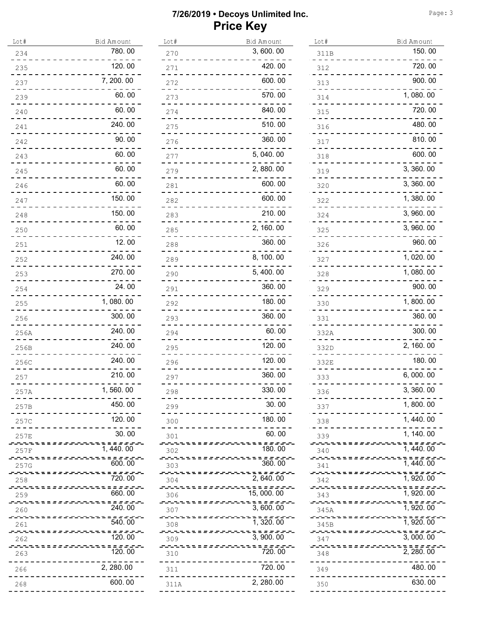| Lot#                     | <b>Bid Amount</b>                        | Lot#                               | Bid Amount                                | Lot#                                    | Bid Amount                             |
|--------------------------|------------------------------------------|------------------------------------|-------------------------------------------|-----------------------------------------|----------------------------------------|
| 234                      | 780.00                                   | 270<br>.                           | 3,600.00                                  | 311B                                    | 150.00                                 |
| 235                      | 120.00                                   | 271<br>.                           | 420.00                                    | 312<br>.                                | 720.00                                 |
| 237                      | 7, 200, 00                               | 272                                | 600.00                                    | 313                                     | 900.00                                 |
| 239                      | 60.00                                    | 273                                | 570.00                                    | 314                                     | 1,080.00                               |
| 240                      | 60.00                                    | 274<br>- - - - -                   | 840.00                                    | 315<br>- - - -                          | 720.00                                 |
| 241                      | 240.00                                   | 275                                | 510.00<br>$\overline{a}$ , $\overline{a}$ | 316                                     | 480.00                                 |
| 242                      | 90.00                                    | 276<br>_ _ _ _ _ _ _ _ _ _ _ _ _ _ | 360.00                                    | 317                                     | 810.00                                 |
| 243                      | 60.00                                    | 277                                | 5, 040.00                                 | 318                                     | 600.00                                 |
| 245                      | 60.00                                    | 279                                | 2,880.00                                  | 319                                     | 3, 360.00                              |
| 246                      | 60.00                                    | ------<br>281                      | 600.00                                    | . <u>.</u><br>320                       | 3, 360.00                              |
| 247                      | 150.00                                   | $\sim$ $  -$<br>282                | 600.00                                    | 322<br>. <b>.</b>                       | 1,380.00                               |
| 248                      | 150.00                                   | 283                                | 210.00                                    | 324                                     | 3,960.00                               |
| 250                      | 60.00                                    | 285                                | 2, 160.00                                 | - - - -<br>325                          | 3, 960.00                              |
| 251                      | 12.00                                    | 288<br>------------                | 360.00                                    | 326<br>-----------                      | 960.00                                 |
| 252                      | 240.00                                   | 289<br>_ _ _ _ _ _ _ _ _ _ _ _ _   | 8, 100. 00                                | 327<br>_ _ <del>_</del> _ _ _ _ _ _ _ _ | 1,020.00                               |
| 253                      | 270.00                                   | 290<br>_ _ _ _ _ _ _ _ _           | 5, 400.00                                 | 328                                     | 1,080.00                               |
| 254                      | 24.00                                    | 291                                | 360.00                                    | 329                                     | 900.00                                 |
| 255                      | 1,080.00                                 | -------<br>292                     | 180.00                                    | 330                                     | 1,800.00                               |
| 256                      | 300.00                                   | 293                                | 360.00                                    | 331                                     | 360.00                                 |
| 256A                     | 240.00                                   | 294<br>. Tij de de de de de        | 60.00                                     | 332A                                    | 300.00                                 |
| 256B                     | 240.00                                   | 295                                | 120.00                                    | 332D                                    | 2, 160.00                              |
| 256C                     | 240.00                                   | 296                                | 120.00                                    | 332E                                    | 180.00                                 |
| 257                      | 210.00                                   | 297                                | 360.00                                    | 333                                     | 6,000.00                               |
| 257A                     | 1,560.00                                 | 298                                | 330.00                                    | 336                                     | 3,360.00                               |
| 257B                     | 450, 00                                  | 299                                | 30.00                                     | 337                                     | 1,800.00                               |
| 257C                     | 120.00                                   | 300                                | 180,00                                    | 338                                     | 1, 440.00                              |
| 257E                     | 30.00                                    | 301                                | 60.00                                     | 339                                     | 1, 140, 00                             |
| 257F                     | --------------------------<br>1, 440, 00 | 302                                | ,,,,,,,,,,,,,,,,,,,,,,,,,,<br>180.00      | 340                                     | ,,,,,,,,,,,,,,,,,,,,,,,,<br>1, 440.00  |
| 257G                     | -------------------------<br>600, 00     | 303                                | ,,,,,,,,,,,,,,,,,,,,,,,,,,<br>360, 00     | 341                                     | ,,,,,,,,,,,,,,,,,,,,,,,,<br>1, 440.00  |
| 258                      | ------------------------<br>720, 00      | 304                                | ------------------------<br>2, 640. 00    | sseretteres.<br>342                     | statuna nombo<br>1, 920.00             |
| 259                      | ------------------------<br>660, 00      | 306                                | ,,,,,,,,,,,,,,,,,,,,,,,,,,<br>15, 000, 00 | 343                                     | -----------------------<br>1, 920.00   |
| 260                      | -------------------------<br>240, 00     | 307                                | ,,,,,,,,,,,,,,,,,,,,,,,,,,,<br>3, 600, 00 | 345A                                    | ,,,,,,,,,,,,,,,,,,,,,,,,<br>1, 920, 00 |
| 261                      | --------------------------<br>540, 00    | 308                                | ,,,,,,,,,,,,,,,,,,,,,,,,,,<br>1, 320, 00  | 345B                                    | ,,,,,,,,,,,,,,,,,,,,,,,,<br>1, 920.00  |
| <i>sa</i> attesse<br>262 | stele e e e e evel<br>120.00             | 309                                | ,,,,,,,,,,,,,,,,,,,,,,,,,,<br>3, 900, 00  | 347                                     | ,,,,,,,,,,,,,,,,,,,,,,,,<br>3, 000. 00 |
| 263                      | --------------------------<br>120, 00    | 310                                | ,,,,,,,,,,,,,,,,,,,,,,,,,,<br>720, 00     | 348                                     | ,,,,,,,,,,,,,,,,,,,,,,,,<br>2, 280, 00 |
| 266                      | 2, 280.00                                | 311                                | 720.00                                    | 349                                     | 480.00                                 |
| 268                      | 600.00                                   | 311A                               | 2, 280.00                                 | 350                                     | 630.00                                 |
|                          |                                          |                                    | --------                                  |                                         |                                        |

| Lot#        | Bid Amount            |
|-------------|-----------------------|
| 311B        | 150.00                |
| 312         | 720.00                |
| 313         | 900.00                |
| 314         | 1,080.00              |
| 315         | 720.00                |
| 316         | 480.00                |
| 317         | 810.00                |
| 318         | 600.00                |
| 319         | 3,360.00              |
| 320         | 3,360.00              |
| 322         | 1,380.00              |
| 324         | 3,960.00              |
| 325         | 3,960.00              |
| 326         | 960.00                |
| 327         | 1,020.00              |
| 328         | 1,080.00              |
| 329         | 900.00                |
| 330         | 1,800.00              |
| 331         | 360.00                |
| 332A        | 300.00                |
| 332D        | 2, 160.00             |
| 332E        | 180.00                |
| 333         | 6,000.00              |
| 336         | 3, 360. 00            |
| 337         | 1, 800. 00            |
| 338         | 1,440.00              |
| 339         | 1, 140.00             |
| 340         | $\overline{1,440.00}$ |
| 341         | 1, 440. 00            |
| 342         | 1, 920. 00            |
| 343         | 1, 920. 00            |
| 345A        | 1, 920. 00            |
| .<br>345B   | 1, 920. 00            |
| 347         | 3,000.00              |
| ----<br>348 | 2,280.00              |
| 349         | 480.00                |
| 350         | 630.00                |
|             |                       |